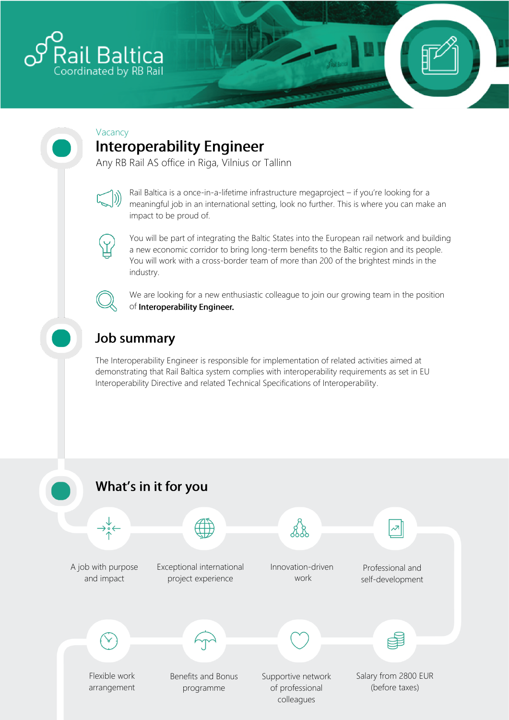

#### Vacancy **Interoperability Engineer**

Any RB Rail AS office in Riga, Vilnius or Tallinn



Rail Baltica is a once-in-a-lifetime infrastructure megaproject – if you're looking for a meaningful job in an international setting, look no further. This is where you can make an impact to be proud of.



You will be part of integrating the Baltic States into the European rail network and building a new economic corridor to bring long-term benefits to the Baltic region and its people. You will work with a cross-border team of more than 200 of the brightest minds in the industry.



We are looking for a new enthusiastic colleague to join our growing team in the position of Interoperability Engineer.

## **Job summary**

The Interoperability Engineer is responsible for implementation of related activities aimed at demonstrating that Rail Baltica system complies with interoperability requirements as set in EU Interoperability Directive and related Technical Specifications of Interoperability.